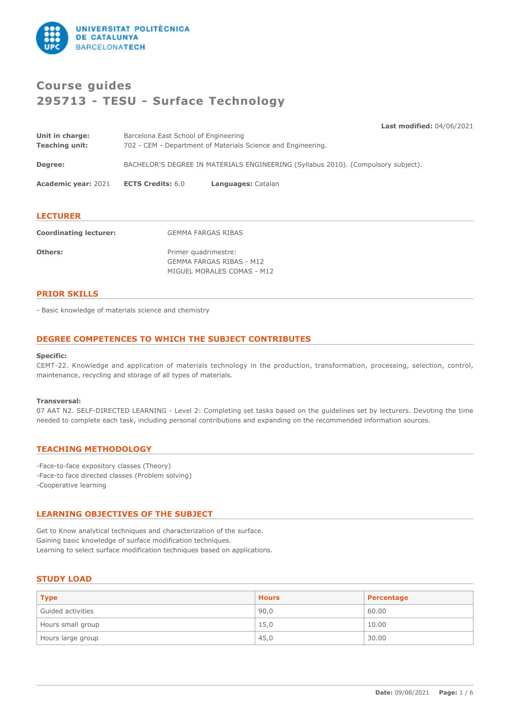

# **Course guides 295713 - TESU - Surface Technology**

**Last modified:** 04/06/2021

| Barcelona East School of Engineering |                                                                                   |
|--------------------------------------|-----------------------------------------------------------------------------------|
|                                      | 702 - CEM - Department of Materials Science and Engineering.                      |
|                                      | BACHELOR'S DEGREE IN MATERIALS ENGINEERING (Syllabus 2010). (Compulsory subject). |
| <b>ECTS Credits: 6.0</b>             | Languages: Catalan                                                                |
|                                      |                                                                                   |

# **LECTURER**

| <b>Coordinating lecturer:</b> | <b>GEMMA FARGAS RIBAS</b>                                                      |
|-------------------------------|--------------------------------------------------------------------------------|
| Others:                       | Primer quadrimestre:<br>GEMMA FARGAS RIBAS - M12<br>MIGUEL MORALES COMAS - M12 |

## **PRIOR SKILLS**

- Basic knowledge of materials science and chemistry

# **DEGREE COMPETENCES TO WHICH THE SUBJECT CONTRIBUTES**

## **Specific:**

CEMT-22. Knowledge and application of materials technology in the production, transformation, processing, selection, control, maintenance, recycling and storage of all types of materials.

#### **Transversal:**

07 AAT N2. SELF-DIRECTED LEARNING - Level 2: Completing set tasks based on the guidelines set by lecturers. Devoting the time needed to complete each task, including personal contributions and expanding on the recommended information sources.

# **TEACHING METHODOLOGY**

-Face-to-face expository classes (Theory) -Face-to face directed classes (Problem solving) -Cooperative learning

## **LEARNING OBJECTIVES OF THE SUBJECT**

Get to Know analytical techniques and characterization of the surface. Gaining basic knowledge of surface modification techniques. Learning to select surface modification techniques based on applications.

## **STUDY LOAD**

| <b>Type</b>       | <b>Hours</b> | Percentage |
|-------------------|--------------|------------|
| Guided activities | 90,0         | 60.00      |
| Hours small group | 15,0         | 10.00      |
| Hours large group | 45,0         | 30.00      |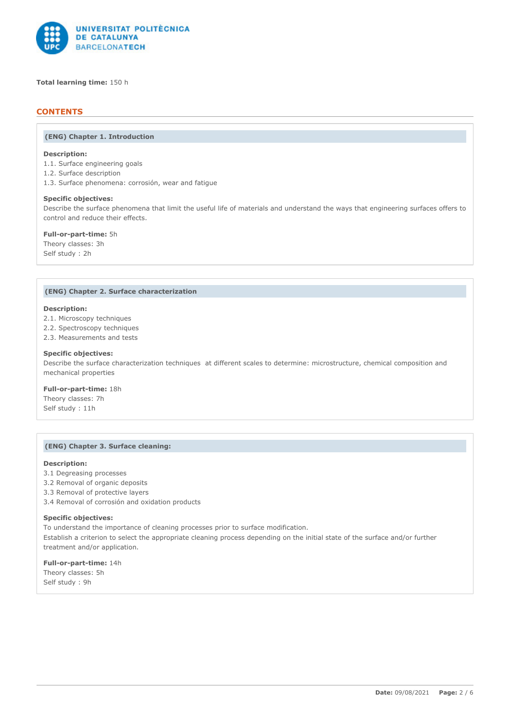

**Total learning time:** 150 h

# **CONTENTS**

#### **(ENG) Chapter 1. Introduction**

## **Description:**

- 1.1. Surface engineering goals
- 1.2. Surface description
- 1.3. Surface phenomena: corrosión, wear and fatigue

#### **Specific objectives:**

Describe the surface phenomena that limit the useful life of materials and understand the ways that engineering surfaces offers to control and reduce their effects.

**Full-or-part-time:** 5h Theory classes: 3h Self study : 2h

#### **(ENG) Chapter 2. Surface characterization**

#### **Description:**

2.1. Microscopy techniques

- 2.2. Spectroscopy techniques
- 2.3. Measurements and tests

#### **Specific objectives:**

Describe the surface characterization techniques at different scales to determine: microstructure, chemical composition and mechanical properties

## **Full-or-part-time:** 18h

Theory classes: 7h Self study : 11h

# **(ENG) Chapter 3. Surface cleaning:**

#### **Description:**

- 3.1 Degreasing processes
- 3.2 Removal of organic deposits
- 3.3 Removal of protective layers
- 3.4 Removal of corrosión and oxidation products

#### **Specific objectives:**

To understand the importance of cleaning processes prior to surface modification. Establish a criterion to select the appropriate cleaning process depending on the initial state of the surface and/or further treatment and/or application.

**Full-or-part-time:** 14h Theory classes: 5h Self study : 9h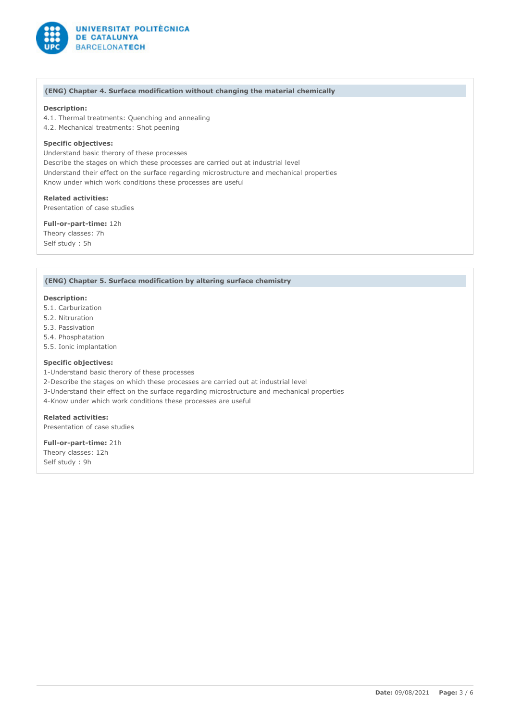

## **(ENG) Chapter 4. Surface modification without changing the material chemically**

## **Description:**

4.1. Thermal treatments: Quenching and annealing

4.2. Mechanical treatments: Shot peening

## **Specific objectives:**

Understand basic therory of these processes Describe the stages on which these processes are carried out at industrial level Understand their effect on the surface regarding microstructure and mechanical properties Know under which work conditions these processes are useful

**Related activities:** Presentation of case studies

**Full-or-part-time:** 12h Theory classes: 7h Self study : 5h

#### **(ENG) Chapter 5. Surface modification by altering surface chemistry**

#### **Description:**

- 5.1. Carburization
- 5.2. Nitruration
- 5.3. Passivation
- 5.4. Phosphatation
- 5.5. Ionic implantation

## **Specific objectives:**

1-Understand basic therory of these processes 2-Describe the stages on which these processes are carried out at industrial level 3-Understand their effect on the surface regarding microstructure and mechanical properties 4-Know under which work conditions these processes are useful

**Related activities:** Presentation of case studies

**Full-or-part-time:** 21h Theory classes: 12h Self study : 9h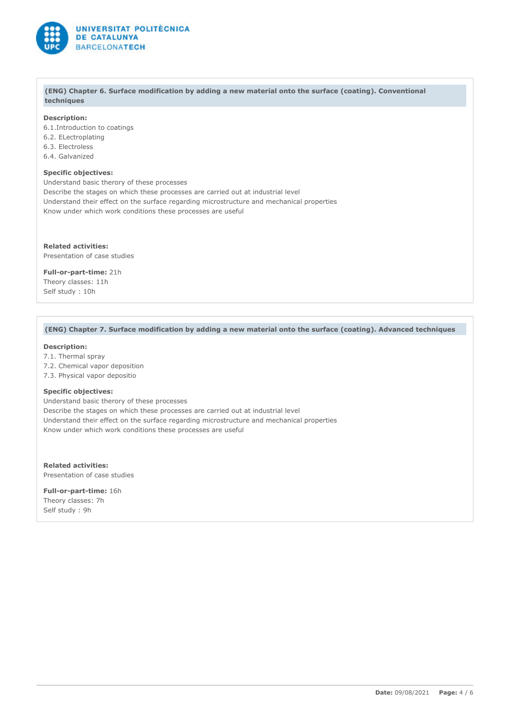

#### **(ENG) Chapter 6. Surface modification by adding a new material onto the surface (coating). Conventional techniques**

## **Description:**

6.1.Introduction to coatings 6.2. ELectroplating 6.3. Electroless 6.4. Galvanized

#### **Specific objectives:**

Understand basic therory of these processes Describe the stages on which these processes are carried out at industrial level Understand their effect on the surface regarding microstructure and mechanical properties Know under which work conditions these processes are useful

**Related activities:** Presentation of case studies

**Full-or-part-time:** 21h Theory classes: 11h

Self study : 10h

## **(ENG) Chapter 7. Surface modification by adding a new material onto the surface (coating). Advanced techniques**

# **Description:**

- 7.1. Thermal spray
- 7.2. Chemical vapor deposition
- 7.3. Physical vapor depositio

## **Specific objectives:**

Understand basic therory of these processes Describe the stages on which these processes are carried out at industrial level Understand their effect on the surface regarding microstructure and mechanical properties Know under which work conditions these processes are useful

**Related activities:** Presentation of case studies

**Full-or-part-time:** 16h Theory classes: 7h Self study : 9h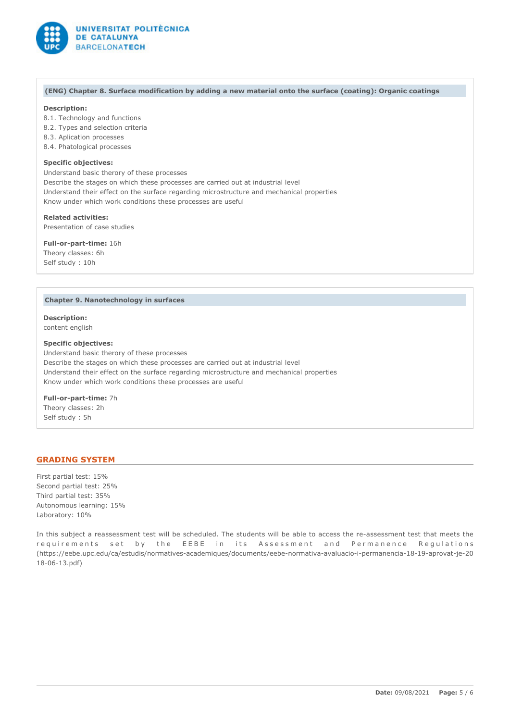

#### **(ENG) Chapter 8. Surface modification by adding a new material onto the surface (coating): Organic coatings**

## **Description:**

- 8.1. Technology and functions
- 8.2. Types and selection criteria
- 8.3. Aplication processes
- 8.4. Phatological processes

## **Specific objectives:**

Understand basic therory of these processes Describe the stages on which these processes are carried out at industrial level Understand their effect on the surface regarding microstructure and mechanical properties Know under which work conditions these processes are useful

**Related activities:** Presentation of case studies

**Full-or-part-time:** 16h

Theory classes: 6h Self study : 10h

#### **Chapter 9. Nanotechnology in surfaces**

**Description:** content english

## **Specific objectives:**

Understand basic therory of these processes Describe the stages on which these processes are carried out at industrial level Understand their effect on the surface regarding microstructure and mechanical properties Know under which work conditions these processes are useful

**Full-or-part-time:** 7h Theory classes: 2h Self study : 5h

## **GRADING SYSTEM**

First partial test: 15% Second partial test: 25% Third partial test: 35% Autonomous learning: 15% Laboratory: 10%

In this subject a reassessment test will be scheduled. The students will be able to access the re-assessment test that meets the requirements set by the EEBE in its Assessment and Permanence Regulations (https://eebe.upc.edu/ca/estudis/normatives-academiques/documents/eebe-normativa-avaluacio-i-permanencia-18-19-aprovat-je-20 18-06-13.pdf)